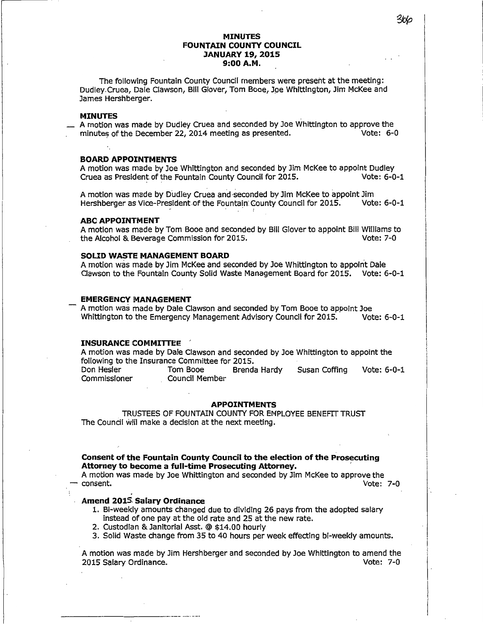## **MINUTES FOUNTAIN COUNTY COUNCIL JANUARY 19, 2015 9:00 A.M.**

The following Fountain County Council members were present at the meeting: Dudley.Cruea, Dale Clawson, Bill Glover, Tom Booe, Joe Whittington, Jim McKee and James Hershberger.

#### **MINUTES**

A motion was made by Dudley Cruea and seconded by Joe Whittington to approve the minutes of the December 22, 2014 meeting as presented. minutes of the December 22, 2014 meeting as presented.

#### **BOARD APPOINTMENTS**

A motion was made by Joe Whittington and seconded by Jim McKee to appoint Dudley<br>Cruea as President of the Fountain County Council for 2015. Vote: 6-0-1 Cruea as President of the Fountain County Council for 2015.

A motion was made by Dudley Cruea and seconded by Jim McKee to appoint Jim<br>Hershberger as Vice-President of the Fountain County Council for 2015. Vote: 6-0-1 Hershberger as Vice-President of the Fountain: County Council for 2015.

### **ABC APPOINTMENT**

A motion was made by Tom Booe and seconded by Bill Glover to appoint Bill Williams to<br>the Alcohol & Beverage Commission for 2015. the Alcohol & Beverage Commission for 2015.

## **SOLID WASTE MANAGEMENT BOARD**

A motion was made by Jim McKee and seconded by Joe Whittington to appoint Dale Clawson to the Fountain County Solid Waste Management Board for 2015. Vote: 6-0-1

### **EMERGENCY MANAGEMENT**

A motion was made by Dale Clawson and seconded by Tom Booe to appoint Joe<br>Whittington to the Emergency Management Advisory Council for 2015. Vote: 6-0-1 Whittington to the Emergency Management Advisory Council for 2015.

#### **INSURANCE COMMITTEE** ,

A motion was made by Dale Clawson and seconded by Joe Whittington to appoint the following to the Insurance Committee for 2015.

Don Hesler Tom Booe Brenda Hardy Susan Coffing Vote: 6-0-1 Commissioner Council Member

## **APPOINTMENTS**

TRUSTEES OF FOUNTAIN COUNTY FOR EMPLOYEE BENEFIT TRUST The Council will make a decision at the next meeting.

### **Consent of the Fountain County Council to the election of the Prosecuting Attorney to become a full-time Prosecuting Attorney.** ,

A motion was made by Joe Whittington and seconded by Jim McKee to approve the - consent.

# **Amend 2015. Salary Ordinance**

 $-1-\frac{1}{2}$  , where  $-1-\frac{1}{2}$  , where  $-1-\frac{1}{2}$  , where  $-1-\frac{1}{2}$ 

- 1. Bi-weekly amounts changed due to dividing 26 pays from the adopted salary instead of one pay at the old rate and 25 at the new rate.
- 2. Custodian & Janitorial Asst. @ \$14.00 hourly
- 3. Solid Waste change from 35 to 40 hours per week effecting bi-weekly amounts.

A motion was made by Jim Hershberger and seconded by Joe Whittington to amend the 2015 Salary Ordinance. Vote: 7-0